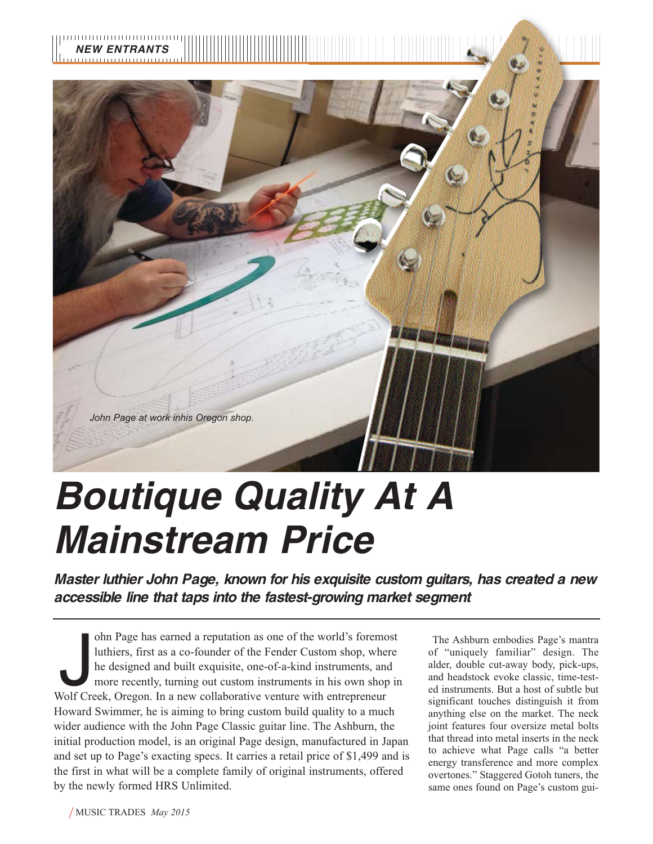

## *Boutique Quality At A Mainstream Price*

*Master luthier John Page, known for his exquisite custom guitars, has created a new accessible line that taps into the fastest-growing market segment*

J ohn Page has earned a reputation as one of the world's foremost luthiers, first as a co-founder of the Fender Custom shop, where he designed and built exquisite, one-of-a-kind instruments, and more recently, turning out custom instruments in his own shop in Wolf Creek, Oregon. In a new collaborative venture with entrepreneur Howard Swimmer, he is aiming to bring custom build quality to a much wider audience with the John Page Classic guitar line. The Ashburn, the initial production model, is an original Page design, manufactured in Japan and set up to Page's exacting specs. It carries a retail price of \$1,499 and is the first in what will be a complete family of original instruments, offered by the newly formed HRS Unlimited.

The Ashburn embodies Page's mantra of "uniquely familiar" design. The alder, double cut-away body, pick-ups, and headstock evoke classic, time-tested instruments. But a host of subtle but significant touches distinguish it from anything else on the market. The neck joint features four oversize metal bolts that thread into metal inserts in the neck to achieve what Page calls "a better energy transference and more complex overtones." Staggered Gotoh tuners, the same ones found on Page's custom gui-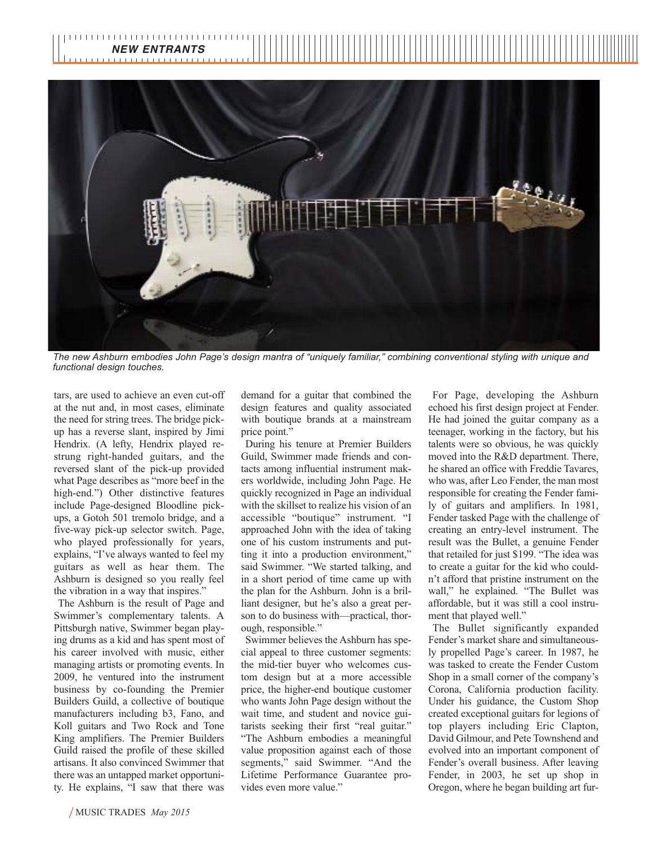

*The new Ashburn embodies John Page's design mantra of "uniquely familiar," combining conventional styling with unique and functional design touches.*

tars, are used to achieve an even cut-off at the nut and, in most cases, eliminate the need for string trees. The bridge pickup has a reverse slant, inspired by Jimi Hendrix. (A lefty, Hendrix played restrung right-handed guitars, and the reversed slant of the pick-up provided what Page describes as "more beef in the high-end.") Other distinctive features include Page-designed Bloodline pickups, a Gotoh 501 tremolo bridge, and a five-way pick-up selector switch. Page, who played professionally for years, explains, "I've always wanted to feel my guitars as well as hear them. The Ashburn is designed so you really feel the vibration in a way that inspires."

The Ashburn is the result of Page and Swimmer's complementary talents. A Pittsburgh native, Swimmer began playing drums as a kid and has spent most of his career involved with music, either managing artists or promoting events. In 2009, he ventured into the instrument business by co-founding the Premier Builders Guild, a collective of boutique manufacturers including b3, Fano, and Koll guitars and Two Rock and Tone King amplifiers. The Premier Builders Guild raised the profile of these skilled artisans. It also convinced Swimmer that there was an untapped market opportunity. He explains, "I saw that there was

demand for a guitar that combined the design features and quality associated with boutique brands at a mainstream price point."

During his tenure at Premier Builders Guild, Swimmer made friends and contacts among influential instrument makers worldwide, including John Page. He quickly recognized in Page an individual with the skillset to realize his vision of an accessible "boutique" instrument. "I approached John with the idea of taking one of his custom instruments and putting it into a production environment," said Swimmer. "We started talking, and in a short period of time came up with the plan for the Ashburn. John is a brilliant designer, but he's also a great person to do business with—practical, thorough, responsible."

Swimmer believes the Ashburn has special appeal to three customer segments: the mid-tier buyer who welcomes custom design but at a more accessible price, the higher-end boutique customer who wants John Page design without the wait time, and student and novice guitarists seeking their first "real guitar." "The Ashburn embodies a meaningful value proposition against each of those segments," said Swimmer. "And the Lifetime Performance Guarantee provides even more value."

For Page, developing the Ashburn echoed his first design project at Fender. He had joined the guitar company as a teenager, working in the factory, but his talents were so obvious, he was quickly moved into the R&D department. There, he shared an office with Freddie Tavares, who was, after Leo Fender, the man most responsible for creating the Fender family of guitars and amplifiers. In 1981, Fender tasked Page with the challenge of creating an entry-level instrument. The result was the Bullet, a genuine Fender that retailed for just \$199. "The idea was to create a guitar for the kid who couldn't afford that pristine instrument on the wall," he explained. "The Bullet was affordable, but it was still a cool instrument that played well."

The Bullet significantly expanded Fender's market share and simultaneously propelled Page's career. In 1987, he was tasked to create the Fender Custom Shop in a small corner of the company's Corona, California production facility. Under his guidance, the Custom Shop created exceptional guitars for legions of top players including Eric Clapton, David Gilmour, and Pete Townshend and evolved into an important component of Fender's overall business. After leaving Fender, in 2003, he set up shop in Oregon, where he began building art fur-